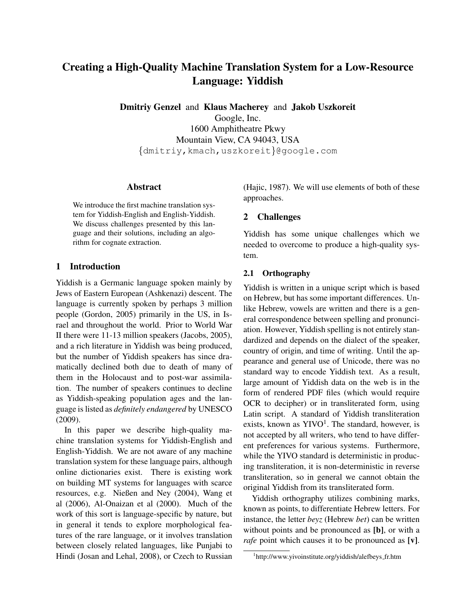# Creating a High-Quality Machine Translation System for a Low-Resource Language: Yiddish

Dmitriy Genzel and Klaus Macherey and Jakob Uszkoreit

Google, Inc. 1600 Amphitheatre Pkwy Mountain View, CA 94043, USA {dmitriy,kmach,uszkoreit}@google.com

# Abstract

We introduce the first machine translation system for Yiddish-English and English-Yiddish. We discuss challenges presented by this language and their solutions, including an algorithm for cognate extraction.

# 1 Introduction

Yiddish is a Germanic language spoken mainly by Jews of Eastern European (Ashkenazi) descent. The language is currently spoken by perhaps 3 million people (Gordon, 2005) primarily in the US, in Israel and throughout the world. Prior to World War II there were 11-13 million speakers (Jacobs, 2005), and a rich literature in Yiddish was being produced, but the number of Yiddish speakers has since dramatically declined both due to death of many of them in the Holocaust and to post-war assimilation. The number of speakers continues to decline as Yiddish-speaking population ages and the language is listed as *definitely endangered* by UNESCO (2009).

In this paper we describe high-quality machine translation systems for Yiddish-English and English-Yiddish. We are not aware of any machine translation system for these language pairs, although online dictionaries exist. There is existing work on building MT systems for languages with scarce resources, e.g. Nießen and Ney (2004), Wang et al (2006), Al-Onaizan et al (2000). Much of the work of this sort is language-specific by nature, but in general it tends to explore morphological features of the rare language, or it involves translation between closely related languages, like Punjabi to Hindi (Josan and Lehal, 2008), or Czech to Russian

(Hajic, 1987). We will use elements of both of these approaches.

# 2 Challenges

Yiddish has some unique challenges which we needed to overcome to produce a high-quality system.

# 2.1 Orthography

Yiddish is written in a unique script which is based on Hebrew, but has some important differences. Unlike Hebrew, vowels are written and there is a general correspondence between spelling and pronunciation. However, Yiddish spelling is not entirely standardized and depends on the dialect of the speaker, country of origin, and time of writing. Until the appearance and general use of Unicode, there was no standard way to encode Yiddish text. As a result, large amount of Yiddish data on the web is in the form of rendered PDF files (which would require OCR to decipher) or in transliterated form, using Latin script. A standard of Yiddish transliteration exists, known as  $\text{YIVO}^1$ . The standard, however, is not accepted by all writers, who tend to have different preferences for various systems. Furthermore, while the YIVO standard is deterministic in producing transliteration, it is non-deterministic in reverse transliteration, so in general we cannot obtain the original Yiddish from its transliterated form.

Yiddish orthography utilizes combining marks, known as points, to differentiate Hebrew letters. For instance, the letter *beyz* (Hebrew *bet*) can be written without points and be pronounced as [b], or with a *rafe* point which causes it to be pronounced as [**v**].

<sup>1</sup> http://www.yivoinstitute.org/yiddish/alefbeys fr.htm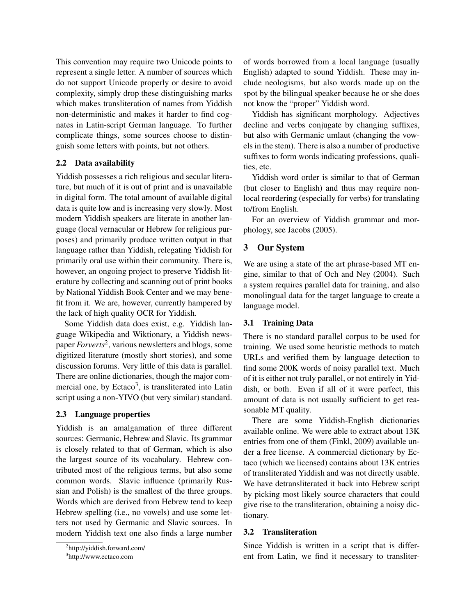This convention may require two Unicode points to represent a single letter. A number of sources which do not support Unicode properly or desire to avoid complexity, simply drop these distinguishing marks which makes transliteration of names from Yiddish non-deterministic and makes it harder to find cognates in Latin-script German language. To further complicate things, some sources choose to distinguish some letters with points, but not others.

## 2.2 Data availability

Yiddish possesses a rich religious and secular literature, but much of it is out of print and is unavailable in digital form. The total amount of available digital data is quite low and is increasing very slowly. Most modern Yiddish speakers are literate in another language (local vernacular or Hebrew for religious purposes) and primarily produce written output in that language rather than Yiddish, relegating Yiddish for primarily oral use within their community. There is, however, an ongoing project to preserve Yiddish literature by collecting and scanning out of print books by National Yiddish Book Center and we may benefit from it. We are, however, currently hampered by the lack of high quality OCR for Yiddish.

Some Yiddish data does exist, e.g. Yiddish language Wikipedia and Wiktionary, a Yiddish newspaper *Forverts*<sup>2</sup> , various newsletters and blogs, some digitized literature (mostly short stories), and some discussion forums. Very little of this data is parallel. There are online dictionaries, though the major commercial one, by Ectaco<sup>3</sup>, is transliterated into Latin script using a non-YIVO (but very similar) standard.

## 2.3 Language properties

Yiddish is an amalgamation of three different sources: Germanic, Hebrew and Slavic. Its grammar is closely related to that of German, which is also the largest source of its vocabulary. Hebrew contributed most of the religious terms, but also some common words. Slavic influence (primarily Russian and Polish) is the smallest of the three groups. Words which are derived from Hebrew tend to keep Hebrew spelling (i.e., no vowels) and use some letters not used by Germanic and Slavic sources. In modern Yiddish text one also finds a large number of words borrowed from a local language (usually English) adapted to sound Yiddish. These may include neologisms, but also words made up on the spot by the bilingual speaker because he or she does not know the "proper" Yiddish word.

Yiddish has significant morphology. Adjectives decline and verbs conjugate by changing suffixes, but also with Germanic umlaut (changing the vowels in the stem). There is also a number of productive suffixes to form words indicating professions, qualities, etc.

Yiddish word order is similar to that of German (but closer to English) and thus may require nonlocal reordering (especially for verbs) for translating to/from English.

For an overview of Yiddish grammar and morphology, see Jacobs (2005).

# 3 Our System

We are using a state of the art phrase-based MT engine, similar to that of Och and Ney (2004). Such a system requires parallel data for training, and also monolingual data for the target language to create a language model.

#### 3.1 Training Data

There is no standard parallel corpus to be used for training. We used some heuristic methods to match URLs and verified them by language detection to find some 200K words of noisy parallel text. Much of it is either not truly parallel, or not entirely in Yiddish, or both. Even if all of it were perfect, this amount of data is not usually sufficient to get reasonable MT quality.

There are some Yiddish-English dictionaries available online. We were able to extract about 13K entries from one of them (Finkl, 2009) available under a free license. A commercial dictionary by Ectaco (which we licensed) contains about 13K entries of transliterated Yiddish and was not directly usable. We have detransliterated it back into Hebrew script by picking most likely source characters that could give rise to the transliteration, obtaining a noisy dictionary.

#### 3.2 Transliteration

Since Yiddish is written in a script that is different from Latin, we find it necessary to transliter-

<sup>2</sup> http://yiddish.forward.com/

<sup>&</sup>lt;sup>3</sup>http://www.ectaco.com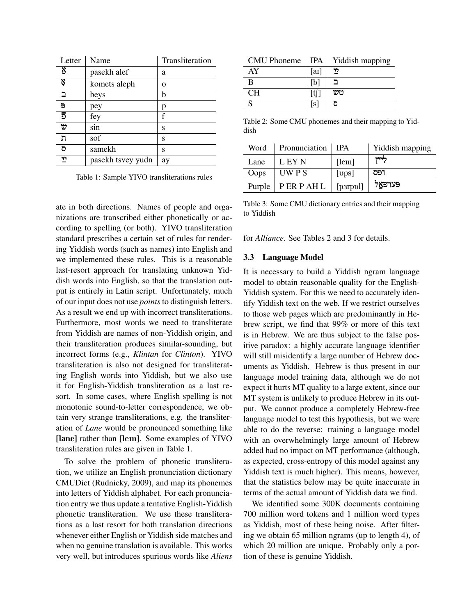| Letter      | Name              | Transliteration |
|-------------|-------------------|-----------------|
| Ŋ           | pasekh alef       | a               |
| Ķ           | komets aleph      | $\Omega$        |
| ב           | beys              | b               |
| Đ           | pey               | p               |
| 5           | fey               | f               |
| $\vartheta$ | sin               | S               |
| ת           | sof               | S               |
| ס           | samekh            | S               |
| לל          | pasekh tsvey yudn | ay              |

Table 1: Sample YIVO transliterations rules

ate in both directions. Names of people and organizations are transcribed either phonetically or according to spelling (or both). YIVO transliteration standard prescribes a certain set of rules for rendering Yiddish words (such as names) into English and we implemented these rules. This is a reasonable last-resort approach for translating unknown Yiddish words into English, so that the translation output is entirely in Latin script. Unfortunately, much of our input does not use *points* to distinguish letters. As a result we end up with incorrect transliterations. Furthermore, most words we need to transliterate from Yiddish are names of non-Yiddish origin, and their transliteration produces similar-sounding, but incorrect forms (e.g., *Klintan* for *Clinton*). YIVO transliteration is also not designed for transliterating English words into Yiddish, but we also use it for English-Yiddish transliteration as a last resort. In some cases, where English spelling is not monotonic sound-to-letter correspondence, we obtain very strange transliterations, e.g. the transliteration of *Lane* would be pronounced something like [lane] rather than [lem]. Some examples of YIVO transliteration rules are given in Table 1.

To solve the problem of phonetic transliteration, we utilize an English pronunciation dictionary CMUDict (Rudnicky, 2009), and map its phonemes into letters of Yiddish alphabet. For each pronunciation entry we thus update a tentative English-Yiddish phonetic transliteration. We use these transliterations as a last resort for both translation directions whenever either English or Yiddish side matches and when no genuine translation is available. This works very well, but introduces spurious words like *Aliens*

| <b>CMU</b> Phoneme |         | IPA   Yiddish mapping |
|--------------------|---------|-----------------------|
| AY                 | $[a_1]$ | לל                    |
| B                  |         |                       |
| CН                 | ⊣t⊡     | טש                    |
|                    | S       |                       |

Table 2: Some CMU phonemes and their mapping to Yiddish

| Word   | Pronunciation   IPA |                | Yiddish mapping |
|--------|---------------------|----------------|-----------------|
| Lane   | L EY N              | [lem]          | לייז            |
| Oops   | UW P S              | [ <i>ops</i> ] | ופס             |
| Purple | $ $ P ER P AH L     | [p3rppl]       | פערפאַל         |

Table 3: Some CMU dictionary entries and their mapping to Yiddish

for *Alliance*. See Tables 2 and 3 for details.

## 3.3 Language Model

It is necessary to build a Yiddish ngram language model to obtain reasonable quality for the English-Yiddish system. For this we need to accurately identify Yiddish text on the web. If we restrict ourselves to those web pages which are predominantly in Hebrew script, we find that 99% or more of this text is in Hebrew. We are thus subject to the false positive paradox: a highly accurate language identifier will still misidentify a large number of Hebrew documents as Yiddish. Hebrew is thus present in our language model training data, although we do not expect it hurts MT quality to a large extent, since our MT system is unlikely to produce Hebrew in its output. We cannot produce a completely Hebrew-free language model to test this hypothesis, but we were able to do the reverse: training a language model with an overwhelmingly large amount of Hebrew added had no impact on MT performance (although, as expected, cross-entropy of this model against any Yiddish text is much higher). This means, however, that the statistics below may be quite inaccurate in terms of the actual amount of Yiddish data we find.

We identified some 300K documents containing 700 million word tokens and 1 million word types as Yiddish, most of these being noise. After filtering we obtain 65 million ngrams (up to length 4), of which 20 million are unique. Probably only a portion of these is genuine Yiddish.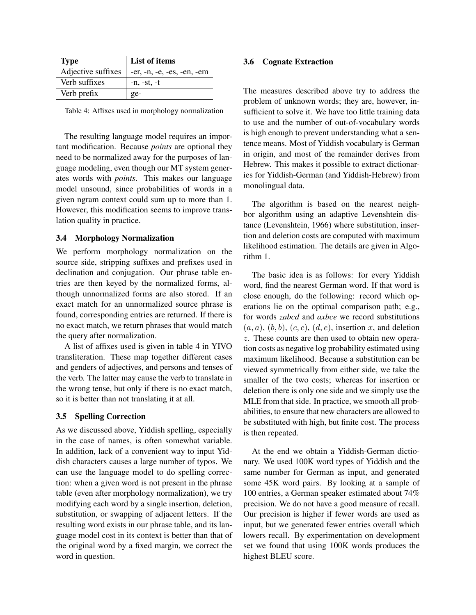| <b>Type</b>        | List of items                |
|--------------------|------------------------------|
| Adjective suffixes | $-er, -n, -e, -es, -en, -em$ |
| Verb suffixes      | $-n$ , $-st$ , $-t$          |
| Verb prefix        | ge-                          |

Table 4: Affixes used in morphology normalization

The resulting language model requires an important modification. Because *points* are optional they need to be normalized away for the purposes of language modeling, even though our MT system generates words with *points*. This makes our language model unsound, since probabilities of words in a given ngram context could sum up to more than 1. However, this modification seems to improve translation quality in practice.

#### 3.4 Morphology Normalization

We perform morphology normalization on the source side, stripping suffixes and prefixes used in declination and conjugation. Our phrase table entries are then keyed by the normalized forms, although unnormalized forms are also stored. If an exact match for an unnormalized source phrase is found, corresponding entries are returned. If there is no exact match, we return phrases that would match the query after normalization.

A list of affixes used is given in table 4 in YIVO transliteration. These map together different cases and genders of adjectives, and persons and tenses of the verb. The latter may cause the verb to translate in the wrong tense, but only if there is no exact match, so it is better than not translating it at all.

#### 3.5 Spelling Correction

As we discussed above, Yiddish spelling, especially in the case of names, is often somewhat variable. In addition, lack of a convenient way to input Yiddish characters causes a large number of typos. We can use the language model to do spelling correction: when a given word is not present in the phrase table (even after morphology normalization), we try modifying each word by a single insertion, deletion, substitution, or swapping of adjacent letters. If the resulting word exists in our phrase table, and its language model cost in its context is better than that of the original word by a fixed margin, we correct the word in question.

## 3.6 Cognate Extraction

The measures described above try to address the problem of unknown words; they are, however, insufficient to solve it. We have too little training data to use and the number of out-of-vocabulary words is high enough to prevent understanding what a sentence means. Most of Yiddish vocabulary is German in origin, and most of the remainder derives from Hebrew. This makes it possible to extract dictionaries for Yiddish-German (and Yiddish-Hebrew) from monolingual data.

The algorithm is based on the nearest neighbor algorithm using an adaptive Levenshtein distance (Levenshtein, 1966) where substitution, insertion and deletion costs are computed with maximum likelihood estimation. The details are given in Algorithm 1.

The basic idea is as follows: for every Yiddish word, find the nearest German word. If that word is close enough, do the following: record which operations lie on the optimal comparison path; e.g., for words *zabcd* and *axbce* we record substitutions  $(a, a), (b, b), (c, c), (d, e)$ , insertion x, and deletion z. These counts are then used to obtain new operation costs as negative log probability estimated using maximum likelihood. Because a substitution can be viewed symmetrically from either side, we take the smaller of the two costs; whereas for insertion or deletion there is only one side and we simply use the MLE from that side. In practice, we smooth all probabilities, to ensure that new characters are allowed to be substituted with high, but finite cost. The process is then repeated.

At the end we obtain a Yiddish-German dictionary. We used 100K word types of Yiddish and the same number for German as input, and generated some 45K word pairs. By looking at a sample of 100 entries, a German speaker estimated about 74% precision. We do not have a good measure of recall. Our precision is higher if fewer words are used as input, but we generated fewer entries overall which lowers recall. By experimentation on development set we found that using 100K words produces the highest BLEU score.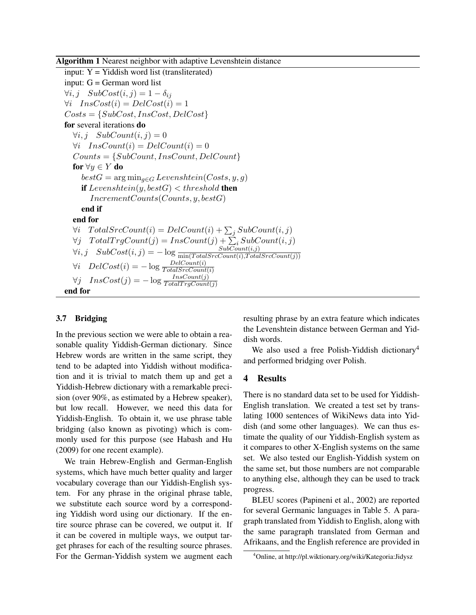input:  $Y = Yiddish word list (transliterated)$ input: G = German word list  $\forall i, j \quad SubCost(i, j) = 1 - \delta_{ij}$  $\forall i$  Ins $Cost(i) = DelCost(i) = 1$  $Costs = \{SubCost, InsCost, DelCost\}$ for several iterations do  $\forall i, j \quad SubCount(i, j) = 0$  $\forall i$  InsCount(i) = DelCount(i) = 0  $Counts = \{SubCount, InsCount, DelCount\}$ for  $\forall y \in Y$  do  $bestG = \arg\min_{g \in G} Levenshtein(Costs, y, g)$ if  $Levenshtein(y, bestG) < threshold$  then  $IncrementCounts(Counts, y, bestG)$ end if end for  $\forall i \quad TotalSrcCount(i) = DelCount(i) + \sum_j SubCount(i, j)$  $\forall j \quad TotalTrgCount(j) = InsCount(j) + \sum_i SubCount(i, j)$  $\forall i, j \quad SubCost(i, j) = -\log \frac{SubCount(i, j)}{\min(TotalSrcCount(i), TotalSrcCount(j))}$  $\forall i \quad DelCost(i) = -\log \frac{DelCount(i)}{TotalSrcCount(i)}$  $\forall j \quad InsCost(j) = -\log \frac{InsCount(j)}{TotalTrgCount(j)}$ end for

# 3.7 Bridging

In the previous section we were able to obtain a reasonable quality Yiddish-German dictionary. Since Hebrew words are written in the same script, they tend to be adapted into Yiddish without modification and it is trivial to match them up and get a Yiddish-Hebrew dictionary with a remarkable precision (over 90%, as estimated by a Hebrew speaker), but low recall. However, we need this data for Yiddish-English. To obtain it, we use phrase table bridging (also known as pivoting) which is commonly used for this purpose (see Habash and Hu (2009) for one recent example).

We train Hebrew-English and German-English systems, which have much better quality and larger vocabulary coverage than our Yiddish-English system. For any phrase in the original phrase table, we substitute each source word by a corresponding Yiddish word using our dictionary. If the entire source phrase can be covered, we output it. If it can be covered in multiple ways, we output target phrases for each of the resulting source phrases. For the German-Yiddish system we augment each resulting phrase by an extra feature which indicates the Levenshtein distance between German and Yiddish words.

We also used a free Polish-Yiddish dictionary<sup>4</sup> and performed bridging over Polish.

#### 4 Results

There is no standard data set to be used for Yiddish-English translation. We created a test set by translating 1000 sentences of WikiNews data into Yiddish (and some other languages). We can thus estimate the quality of our Yiddish-English system as it compares to other X-English systems on the same set. We also tested our English-Yiddish system on the same set, but those numbers are not comparable to anything else, although they can be used to track progress.

BLEU scores (Papineni et al., 2002) are reported for several Germanic languages in Table 5. A paragraph translated from Yiddish to English, along with the same paragraph translated from German and Afrikaans, and the English reference are provided in

<sup>4</sup>Online, at http://pl.wiktionary.org/wiki/Kategoria:Jidysz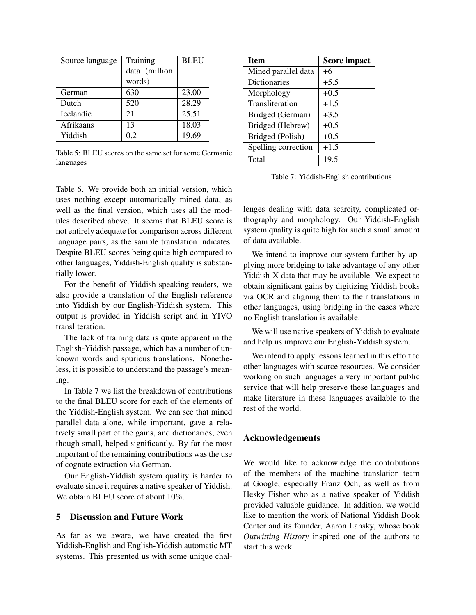| Source language  | Training      | <b>BLEU</b> |
|------------------|---------------|-------------|
|                  | data (million |             |
|                  | words)        |             |
| German           | 630           | 23.00       |
| Dutch            | 520           | 28.29       |
| <b>Icelandic</b> | 21            | 25.51       |
| Afrikaans        | 13            | 18.03       |
| Yiddish          | 02            | 19.69       |

Table 5: BLEU scores on the same set for some Germanic languages

Table 6. We provide both an initial version, which uses nothing except automatically mined data, as well as the final version, which uses all the modules described above. It seems that BLEU score is not entirely adequate for comparison across different language pairs, as the sample translation indicates. Despite BLEU scores being quite high compared to other languages, Yiddish-English quality is substantially lower.

For the benefit of Yiddish-speaking readers, we also provide a translation of the English reference into Yiddish by our English-Yiddish system. This output is provided in Yiddish script and in YIVO transliteration.

The lack of training data is quite apparent in the English-Yiddish passage, which has a number of unknown words and spurious translations. Nonetheless, it is possible to understand the passage's meaning.

In Table 7 we list the breakdown of contributions to the final BLEU score for each of the elements of the Yiddish-English system. We can see that mined parallel data alone, while important, gave a relatively small part of the gains, and dictionaries, even though small, helped significantly. By far the most important of the remaining contributions was the use of cognate extraction via German.

Our English-Yiddish system quality is harder to evaluate since it requires a native speaker of Yiddish. We obtain BLEU score of about  $10\%$ .

## 5 Discussion and Future Work

As far as we aware, we have created the first Yiddish-English and English-Yiddish automatic MT systems. This presented us with some unique chal-

| <b>Score impact</b> |
|---------------------|
| $+6$                |
| $+5.5$              |
| $+0.5$              |
| $+1.5$              |
| $+3.5$              |
| $+0.5$              |
| $+0.5$              |
| $+1.5$              |
| 19.5                |
|                     |

Table 7: Yiddish-English contributions

lenges dealing with data scarcity, complicated orthography and morphology. Our Yiddish-English system quality is quite high for such a small amount of data available.

We intend to improve our system further by applying more bridging to take advantage of any other Yiddish-X data that may be available. We expect to obtain significant gains by digitizing Yiddish books via OCR and aligning them to their translations in other languages, using bridging in the cases where no English translation is available.

We will use native speakers of Yiddish to evaluate and help us improve our English-Yiddish system.

We intend to apply lessons learned in this effort to other languages with scarce resources. We consider working on such languages a very important public service that will help preserve these languages and make literature in these languages available to the rest of the world.

# Acknowledgements

We would like to acknowledge the contributions of the members of the machine translation team at Google, especially Franz Och, as well as from Hesky Fisher who as a native speaker of Yiddish provided valuable guidance. In addition, we would like to mention the work of National Yiddish Book Center and its founder, Aaron Lansky, whose book *Outwitting History* inspired one of the authors to start this work.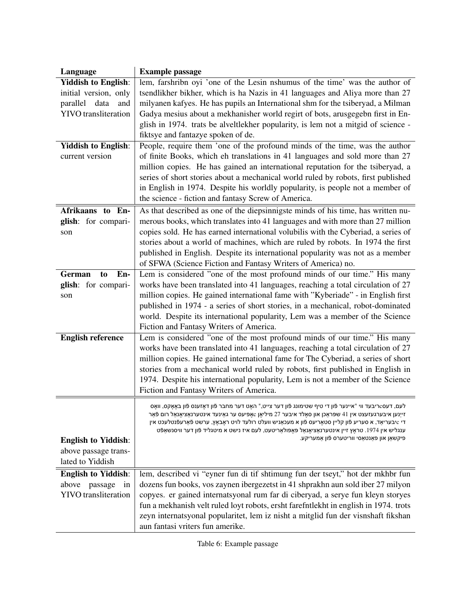| Language                    | <b>Example passage</b>                                                                                                                                                                                                 |
|-----------------------------|------------------------------------------------------------------------------------------------------------------------------------------------------------------------------------------------------------------------|
| <b>Yiddish to English:</b>  | lem, farshribn oyi 'one of the Lesin nshumus of the time' was the author of                                                                                                                                            |
| initial version, only       | tsendlikher bikher, which is ha Nazis in 41 languages and Aliya more than 27                                                                                                                                           |
| parallel<br>data<br>and     | milyanen kafyes. He has pupils an International shm for the tsiberyad, a Milman                                                                                                                                        |
| <b>YIVO</b> transliteration | Gadya mesius about a mekhanisher world regirt of bots, arusgegebn first in En-                                                                                                                                         |
|                             | glish in 1974. trats be alveltlekher popularity, is lem not a mitgid of science -                                                                                                                                      |
|                             | fiktsye and fantazye spoken of de.                                                                                                                                                                                     |
| <b>Yiddish to English:</b>  | People, require them 'one of the profound minds of the time, was the author                                                                                                                                            |
| current version             | of finite Books, which eh translations in 41 languages and sold more than 27                                                                                                                                           |
|                             | million copies. He has gained an international reputation for the tsiberyad, a                                                                                                                                         |
|                             | series of short stories about a mechanical world ruled by robots, first published                                                                                                                                      |
|                             | in English in 1974. Despite his worldly popularity, is people not a member of                                                                                                                                          |
|                             | the science - fiction and fantasy Screw of America.                                                                                                                                                                    |
| Afrikaans to En-            | As that described as one of the diepsinnigste minds of his time, has written nu-                                                                                                                                       |
| glish: for compari-         | merous books, which translates into 41 languages and with more than 27 million                                                                                                                                         |
| son                         | copies sold. He has earned international volubilis with the Cyberiad, a series of                                                                                                                                      |
|                             | stories about a world of machines, which are ruled by robots. In 1974 the first                                                                                                                                        |
|                             | published in English. Despite its international popularity was not as a member                                                                                                                                         |
| En-<br>German<br>to         | of SFWA (Science Fiction and Fantasy Writers of America) no.<br>Lem is considered "one of the most profound minds of our time." His many                                                                               |
| glish: for compari-         | works have been translated into 41 languages, reaching a total circulation of 27                                                                                                                                       |
| son                         | million copies. He gained international fame with "Kyberiade" - in English first                                                                                                                                       |
|                             | published in 1974 - a series of short stories, in a mechanical, robot-dominated                                                                                                                                        |
|                             | world. Despite its international popularity, Lem was a member of the Science                                                                                                                                           |
|                             | Fiction and Fantasy Writers of America.                                                                                                                                                                                |
| <b>English reference</b>    | Lem is considered "one of the most profound minds of our time." His many                                                                                                                                               |
|                             | works have been translated into 41 languages, reaching a total circulation of 27                                                                                                                                       |
|                             | million copies. He gained international fame for The Cyberiad, a series of short                                                                                                                                       |
|                             | stories from a mechanical world ruled by robots, first published in English in                                                                                                                                         |
|                             | 1974. Despite his international popularity, Lem is not a member of the Science                                                                                                                                         |
|                             | Fiction and Fantasy Writers of America.                                                                                                                                                                                |
|                             | לעם, דעס $\circ$ ריבעד ווי "אײנער פֿון די טיף שטימונג פֿון דער צײט," האָט דער מחבר פֿון דאָזענס פֿון באָאָקס, װאָס                                                                                                     |
|                             | זײַנען איבערגעזעצט אין 41 שפּראַכן און סאָלד איבער 27 מיליאָן $\epsilon$ אָפּיעס ער גאַינעד אינטערנאַציאָנאַל רום פֿאַר                                                                                                |
|                             | ַדי אַבעריאַד, א סעריע פֿון קלײן סטאָריעס פֿון א מעכאַניש װעלט רולעד לױט ראַבאַץ, ערשט פֿאַרעפֿנטלעכט אין<br>ענגליש אין 1974. טראָץ זיין אינטערנאַציאָנאַל פּאָפּולאַריטעט, לעם איז נישט א מיטגליד פֿון דער װיסנשאַפֿט |
| <b>English to Yiddish:</b>  | פיקשאן און פאנטאסי ווריטערס פֿון אמעריקע.                                                                                                                                                                              |
| above passage trans-        |                                                                                                                                                                                                                        |
| lated to Yiddish            |                                                                                                                                                                                                                        |
| <b>English to Yiddish:</b>  | lem, described vi "eyner fun di tif shtimung fun der tseyt," hot der mkhbr fun                                                                                                                                         |
| above<br>passage<br>in      | dozens fun books, vos zaynen ibergezetst in 41 shprakhn aun sold iber 27 milyon                                                                                                                                        |
| <b>YIVO</b> transliteration | copyes. er gained internatsyonal rum far di ciberyad, a serye fun kleyn storyes                                                                                                                                        |
|                             | fun a mekhanish velt ruled loyt robots, ersht farefntlekht in english in 1974. trots                                                                                                                                   |
|                             | zeyn internatsyonal popularitet, lem iz nisht a mitglid fun der visnshaft fikshan                                                                                                                                      |
|                             | aun fantasi vriters fun amerike.                                                                                                                                                                                       |